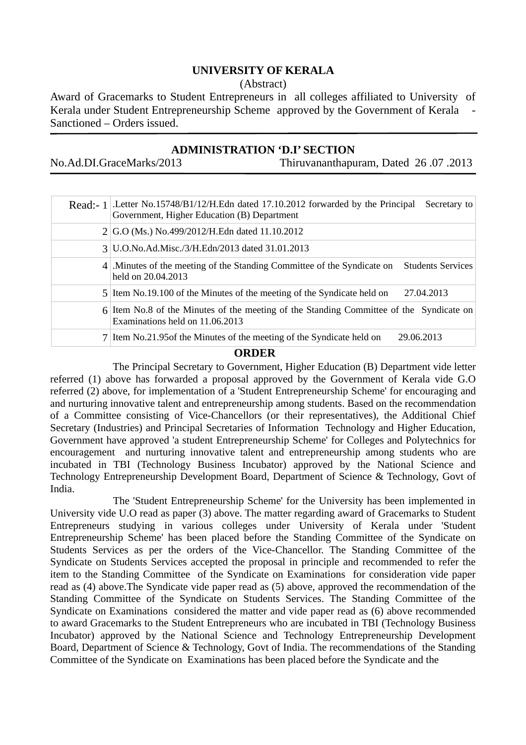## **UNIVERSITY OF KERALA**

(Abstract)

Award of Gracemarks to Student Entrepreneurs in all colleges affiliated to University of Kerala under Student Entrepreneurship Scheme approved by the Government of Kerala Sanctioned – Orders issued.

## **ADMINISTRATION 'D.I' SECTION**

No.Ad.DI.GraceMarks/2013 Thiruvananthapuram, Dated 26 .07 .2013

| Read:- $1$ . Letter No.15748/B1/12/H.Edn dated 17.10.2012 forwarded by the Principal<br>Secretary to<br>Government, Higher Education (B) Department |
|-----------------------------------------------------------------------------------------------------------------------------------------------------|
| 2 G.O (Ms.) No.499/2012/H.Edn dated 11.10.2012                                                                                                      |
| 3 U.O.No.Ad.Misc./3/H.Edn/2013 dated 31.01.2013                                                                                                     |
| 4. Minutes of the meeting of the Standing Committee of the Syndicate on<br><b>Students Services</b><br>held on 20.04.2013                           |
| 5 Item No.19.100 of the Minutes of the meeting of the Syndicate held on<br>27.04.2013                                                               |
| 6 Item No.8 of the Minutes of the meeting of the Standing Committee of the Syndicate on<br>Examinations held on 11.06.2013                          |
| 7 Item No.21.95 of the Minutes of the meeting of the Syndicate held on<br>29.06.2013                                                                |

## **ORDER**

 The Principal Secretary to Government, Higher Education (B) Department vide letter referred (1) above has forwarded a proposal approved by the Government of Kerala vide G.O referred (2) above, for implementation of a 'Student Entrepreneurship Scheme' for encouraging and and nurturing innovative talent and entrepreneurship among students. Based on the recommendation of a Committee consisting of Vice-Chancellors (or their representatives), the Additional Chief Secretary (Industries) and Principal Secretaries of Information Technology and Higher Education, Government have approved 'a student Entrepreneurship Scheme' for Colleges and Polytechnics for encouragement and nurturing innovative talent and entrepreneurship among students who are incubated in TBI (Technology Business Incubator) approved by the National Science and Technology Entrepreneurship Development Board, Department of Science & Technology, Govt of India.

 The 'Student Entrepreneurship Scheme' for the University has been implemented in University vide U.O read as paper (3) above. The matter regarding award of Gracemarks to Student Entrepreneurs studying in various colleges under University of Kerala under 'Student Entrepreneurship Scheme' has been placed before the Standing Committee of the Syndicate on Students Services as per the orders of the Vice-Chancellor. The Standing Committee of the Syndicate on Students Services accepted the proposal in principle and recommended to refer the item to the Standing Committee of the Syndicate on Examinations for consideration vide paper read as (4) above.The Syndicate vide paper read as (5) above, approved the recommendation of the Standing Committee of the Syndicate on Students Services. The Standing Committee of the Syndicate on Examinations considered the matter and vide paper read as (6) above recommended to award Gracemarks to the Student Entrepreneurs who are incubated in TBI (Technology Business Incubator) approved by the National Science and Technology Entrepreneurship Development Board, Department of Science & Technology, Govt of India. The recommendations of the Standing Committee of the Syndicate on Examinations has been placed before the Syndicate and the